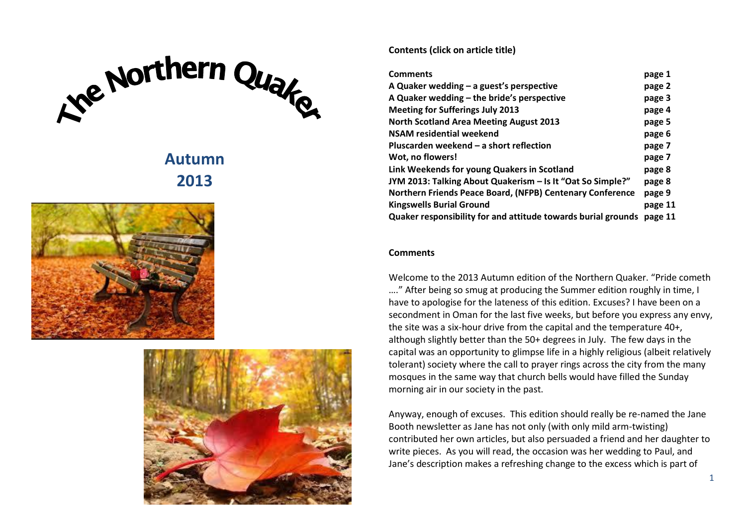# Ke Northern Qualco

# **Autumn 2013**





### <span id="page-0-0"></span>**Contents (click on article title)**

| <b>Comments</b>                                               | page 1  |
|---------------------------------------------------------------|---------|
| A Quaker wedding $-$ a guest's perspective                    | page 2  |
| A Quaker wedding - the bride's perspective                    | page 3  |
| <b>Meeting for Sufferings July 2013</b>                       | page 4  |
| <b>North Scotland Area Meeting August 2013</b>                | page 5  |
| NSAM residential weekend                                      | page 6  |
| Pluscarden weekend - a short reflection                       | page 7  |
| Wot, no flowers!                                              | page 7  |
| Link Weekends for young Quakers in Scotland                   | page 8  |
| JYM 2013: Talking About Quakerism - Is It "Oat So Simple?"    | page 8  |
| Northern Friends Peace Board, (NFPB) Centenary Conference     | page 9  |
| <b>Kingswells Burial Ground</b>                               | page 11 |
| Quaker responsibility for and attitude towards burial grounds | page 11 |

### **Comments**

Welcome to the 2013 Autumn edition of the Northern Quaker. "Pride cometh …." After being so smug at producing the Summer edition roughly in time, I have to apologise for the lateness of this edition. Excuses? I have been on a secondment in Oman for the last five weeks, but before you express any envy, the site was a six-hour drive from the capital and the temperature 40+, although slightly better than the 50+ degrees in July. The few days in the capital was an opportunity to glimpse life in a highly religious (albeit relatively tolerant) society where the call to prayer rings across the city from the many mosques in the same way that church bells would have filled the Sunday morning air in our society in the past.

Anyway, enough of excuses. This edition should really be re-named the Jane Booth newsletter as Jane has not only (with only mild arm-twisting) contributed her own articles, but also persuaded a friend and her daughter to write pieces. As you will read, the occasion was her wedding to Paul, and Jane's description makes a refreshing change to the excess which is part of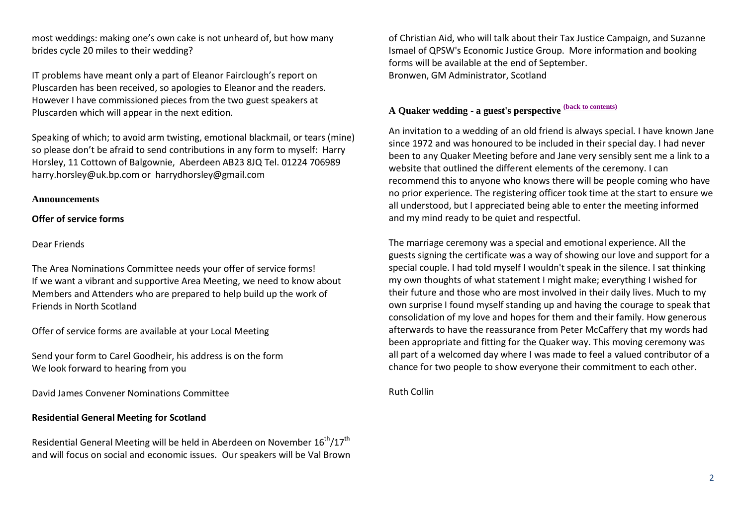most weddings: making one's own cake is not unheard of, but how many brides cycle 20 miles to their wedding?

IT problems have meant only a part of Eleanor Fairclough's report on Pluscarden has been received, so apologies to Eleanor and the readers. However I have commissioned pieces from the two guest speakers at Pluscarden which will appear in the next edition.

Speaking of which; to avoid arm twisting, emotional blackmail, or tears (mine) so please don't be afraid to send contributions in any form to myself: Harry Horsley, 11 Cottown of Balgownie, Aberdeen AB23 8JQ Tel. 01224 706989 harry.horsley@uk.bp.com or harrydhorsley@gmail.com

### **Announcements**

### **Offer of service forms**

### Dear Friends

The Area Nominations Committee needs your offer of service forms! If we want a vibrant and supportive Area Meeting, we need to know about Members and Attenders who are prepared to help build up the work of Friends in North Scotland

Offer of service forms are available at your Local Meeting

Send your form to Carel Goodheir, his address is on the form We look forward to hearing from you

David James Convener Nominations Committee

### **Residential General Meeting for Scotland**

Residential General Meeting will be held in Aberdeen on November  $16^{th}/17^{th}$ and will focus on social and economic issues. Our speakers will be Val Brown of Christian Aid, who will talk about their Tax Justice Campaign, and Suzanne Ismael of QPSW's Economic Justice Group. More information and booking forms will be available at the end of September. Bronwen, GM Administrator, Scotland

# <span id="page-1-0"></span>**A Quaker wedding - a guest's perspective [\(back to contents\)](#page-0-0)**

An invitation to a wedding of an old friend is always special. I have known Jane since 1972 and was honoured to be included in their special day. I had never been to any Quaker Meeting before and Jane very sensibly sent me a link to a website that outlined the different elements of the ceremony. I can recommend this to anyone who knows there will be people coming who have no prior experience. The registering officer took time at the start to ensure we all understood, but I appreciated being able to enter the meeting informed and my mind ready to be quiet and respectful.

The marriage ceremony was a special and emotional experience. All the guests signing the certificate was a way of showing our love and support for a special couple. I had told myself I wouldn't speak in the silence. I sat thinking my own thoughts of what statement I might make; everything I wished for their future and those who are most involved in their daily lives. Much to my own surprise I found myself standing up and having the courage to speak that consolidation of my love and hopes for them and their family. How generous afterwards to have the reassurance from Peter McCaffery that my words had been appropriate and fitting for the Quaker way. This moving ceremony was all part of a welcomed day where I was made to feel a valued contributor of a chance for two people to show everyone their commitment to each other.

<span id="page-1-1"></span>Ruth Collin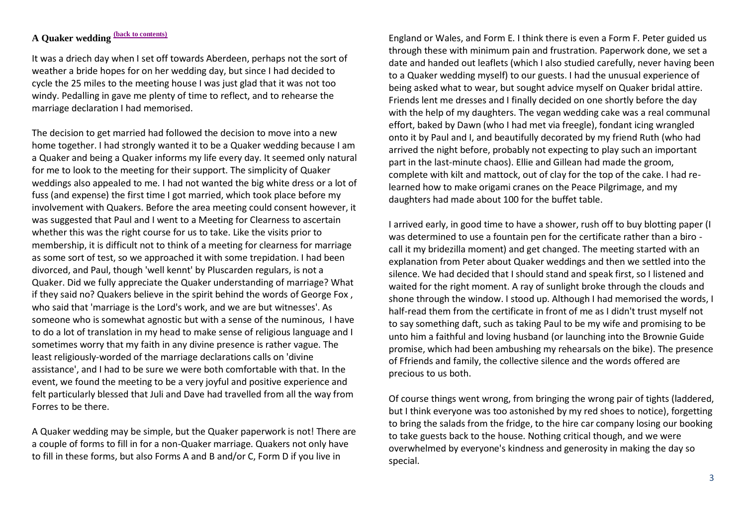# **A Quaker wedding [\(back to contents\)](#page-0-0)**

It was a driech day when I set off towards Aberdeen, perhaps not the sort of weather a bride hopes for on her wedding day, but since I had decided to cycle the 25 miles to the meeting house I was just glad that it was not too windy. Pedalling in gave me plenty of time to reflect, and to rehearse the marriage declaration I had memorised.

The decision to get married had followed the decision to move into a new home together. I had strongly wanted it to be a Quaker wedding because I am a Quaker and being a Quaker informs my life every day. It seemed only natural for me to look to the meeting for their support. The simplicity of Quaker weddings also appealed to me. I had not wanted the big white dress or a lot of fuss (and expense) the first time I got married, which took place before my involvement with Quakers. Before the area meeting could consent however, it was suggested that Paul and I went to a Meeting for Clearness to ascertain whether this was the right course for us to take. Like the visits prior to membership, it is difficult not to think of a meeting for clearness for marriage as some sort of test, so we approached it with some trepidation. I had been divorced, and Paul, though 'well kennt' by Pluscarden regulars, is not a Quaker. Did we fully appreciate the Quaker understanding of marriage? What if they said no? Quakers believe in the spirit behind the words of George Fox , who said that 'marriage is the Lord's work, and we are but witnesses'. As someone who is somewhat agnostic but with a sense of the numinous, I have to do a lot of translation in my head to make sense of religious language and I sometimes worry that my faith in any divine presence is rather vague. The least religiously-worded of the marriage declarations calls on 'divine assistance', and I had to be sure we were both comfortable with that. In the event, we found the meeting to be a very joyful and positive experience and felt particularly blessed that Juli and Dave had travelled from all the way from Forres to be there.

A Quaker wedding may be simple, but the Quaker paperwork is not! There are a couple of forms to fill in for a non-Quaker marriage. Quakers not only have to fill in these forms, but also Forms A and B and/or C, Form D if you live in

England or Wales, and Form E. I think there is even a Form F. Peter guided us through these with minimum pain and frustration. Paperwork done, we set a date and handed out leaflets (which I also studied carefully, never having been to a Quaker wedding myself) to our guests. I had the unusual experience of being asked what to wear, but sought advice myself on Quaker bridal attire. Friends lent me dresses and I finally decided on one shortly before the day with the help of my daughters. The vegan wedding cake was a real communal effort, baked by Dawn (who I had met via freegle), fondant icing wrangled onto it by Paul and I, and beautifully decorated by my friend Ruth (who had arrived the night before, probably not expecting to play such an important part in the last-minute chaos). Ellie and Gillean had made the groom, complete with kilt and mattock, out of clay for the top of the cake. I had relearned how to make origami cranes on the Peace Pilgrimage, and my daughters had made about 100 for the buffet table.

I arrived early, in good time to have a shower, rush off to buy blotting paper (I was determined to use a fountain pen for the certificate rather than a biro call it my bridezilla moment) and get changed. The meeting started with an explanation from Peter about Quaker weddings and then we settled into the silence. We had decided that I should stand and speak first, so I listened and waited for the right moment. A ray of sunlight broke through the clouds and shone through the window. I stood up. Although I had memorised the words, I half-read them from the certificate in front of me as I didn't trust myself not to say something daft, such as taking Paul to be my wife and promising to be unto him a faithful and loving husband (or launching into the Brownie Guide promise, which had been ambushing my rehearsals on the bike). The presence of Ffriends and family, the collective silence and the words offered are precious to us both.

Of course things went wrong, from bringing the wrong pair of tights (laddered, but I think everyone was too astonished by my red shoes to notice), forgetting to bring the salads from the fridge, to the hire car company losing our booking to take guests back to the house. Nothing critical though, and we were overwhelmed by everyone's kindness and generosity in making the day so special.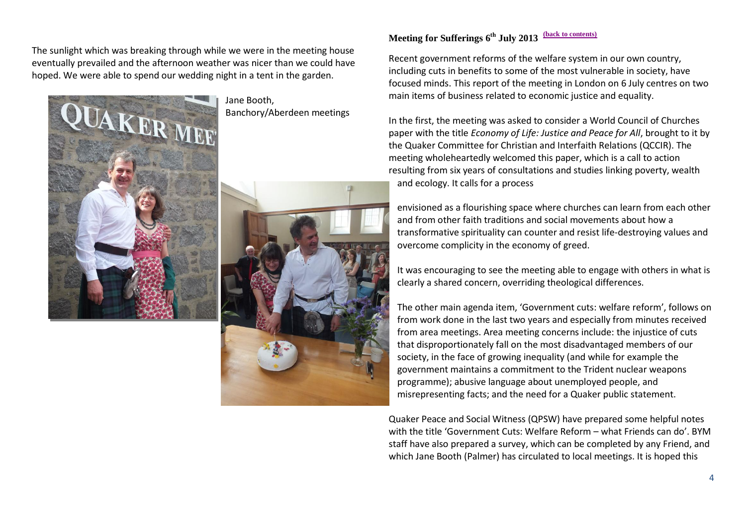The sunlight which was breaking through while we were in the meeting house eventually prevailed and the afternoon weather was nicer than we could have hoped. We were able to spend our wedding night in a tent in the garden.



Jane Booth, Banchory/Aberdeen meetings



### <span id="page-3-0"></span>**Meeting for Sufferings 6 th July 2013 [\(back to contents\)](#page-0-0)**

Recent government reforms of the welfare system in our own country, including cuts in benefits to some of the most vulnerable in society, have focused minds. This report of the meeting in London on 6 July centres on two main items of business related to economic justice and equality.

In the first, the meeting was asked to consider a World Council of Churches paper with the title *Economy of Life: Justice and Peace for All*, brought to it by the Quaker Committee for Christian and Interfaith Relations (QCCIR). The meeting wholeheartedly welcomed this paper, which is a call to action resulting from six years of consultations and studies linking poverty, wealth and ecology. It calls for a process

envisioned as a flourishing space where churches can learn from each other and from other faith traditions and social movements about how a transformative spirituality can counter and resist life-destroying values and overcome complicity in the economy of greed.

It was encouraging to see the meeting able to engage with others in what is clearly a shared concern, overriding theological differences.

The other main agenda item, 'Government cuts: welfare reform', follows on from work done in the last two years and especially from minutes received from area meetings. Area meeting concerns include: the injustice of cuts that disproportionately fall on the most disadvantaged members of our society, in the face of growing inequality (and while for example the government maintains a commitment to the Trident nuclear weapons programme); abusive language about unemployed people, and misrepresenting facts; and the need for a Quaker public statement.

Quaker Peace and Social Witness (QPSW) have prepared some helpful notes with the title 'Government Cuts: Welfare Reform – what Friends can do'. BYM staff have also prepared a survey, which can be completed by any Friend, and which Jane Booth (Palmer) has circulated to local meetings. It is hoped this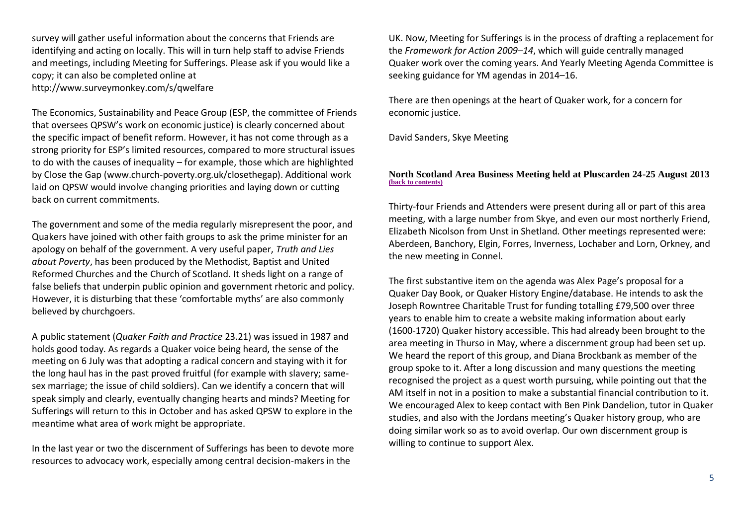survey will gather useful information about the concerns that Friends are identifying and acting on locally. This will in turn help staff to advise Friends and meetings, including Meeting for Sufferings. Please ask if you would like a copy; it can also be completed online at http://www.surveymonkey.com/s/qwelfare

The Economics, Sustainability and Peace Group (ESP, the committee of Friends that oversees QPSW's work on economic justice) is clearly concerned about the specific impact of benefit reform. However, it has not come through as a strong priority for ESP's limited resources, compared to more structural issues to do with the causes of inequality – for example, those which are highlighted by Close the Gap (www.church-poverty.org.uk/closethegap). Additional work laid on QPSW would involve changing priorities and laying down or cutting back on current commitments.

The government and some of the media regularly misrepresent the poor, and Quakers have joined with other faith groups to ask the prime minister for an apology on behalf of the government. A very useful paper, *Truth and Lies about Poverty*, has been produced by the Methodist, Baptist and United Reformed Churches and the Church of Scotland. It sheds light on a range of false beliefs that underpin public opinion and government rhetoric and policy. However, it is disturbing that these 'comfortable myths' are also commonly believed by churchgoers.

A public statement (*Quaker Faith and Practice* 23.21) was issued in 1987 and holds good today. As regards a Quaker voice being heard, the sense of the meeting on 6 July was that adopting a radical concern and staying with it for the long haul has in the past proved fruitful (for example with slavery; samesex marriage; the issue of child soldiers). Can we identify a concern that will speak simply and clearly, eventually changing hearts and minds? Meeting for Sufferings will return to this in October and has asked QPSW to explore in the meantime what area of work might be appropriate.

In the last year or two the discernment of Sufferings has been to devote more resources to advocacy work, especially among central decision-makers in the

UK. Now, Meeting for Sufferings is in the process of drafting a replacement for the *Framework for Action 2009–14*, which will guide centrally managed Quaker work over the coming years. And Yearly Meeting Agenda Committee is seeking guidance for YM agendas in 2014–16.

There are then openings at the heart of Quaker work, for a concern for economic justice.

David Sanders, Skye Meeting

### <span id="page-4-0"></span>**North Scotland Area Business Meeting held at Pluscarden 24-25 August 2013 [\(back to contents\)](#page-0-0)**

Thirty-four Friends and Attenders were present during all or part of this area meeting, with a large number from Skye, and even our most northerly Friend, Elizabeth Nicolson from Unst in Shetland. Other meetings represented were: Aberdeen, Banchory, Elgin, Forres, Inverness, Lochaber and Lorn, Orkney, and the new meeting in Connel.

The first substantive item on the agenda was Alex Page's proposal for a Quaker Day Book, or Quaker History Engine/database. He intends to ask the Joseph Rowntree Charitable Trust for funding totalling £79,500 over three years to enable him to create a website making information about early (1600-1720) Quaker history accessible. This had already been brought to the area meeting in Thurso in May, where a discernment group had been set up. We heard the report of this group, and Diana Brockbank as member of the group spoke to it. After a long discussion and many questions the meeting recognised the project as a quest worth pursuing, while pointing out that the AM itself in not in a position to make a substantial financial contribution to it. We encouraged Alex to keep contact with Ben Pink Dandelion, tutor in Quaker studies, and also with the Jordans meeting's Quaker history group, who are doing similar work so as to avoid overlap. Our own discernment group is willing to continue to support Alex.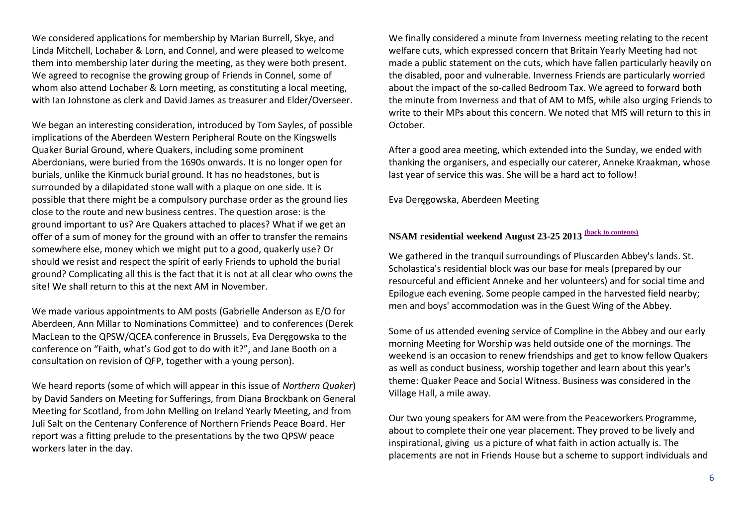We considered applications for membership by Marian Burrell, Skye, and Linda Mitchell, Lochaber & Lorn, and Connel, and were pleased to welcome them into membership later during the meeting, as they were both present. We agreed to recognise the growing group of Friends in Connel, some of whom also attend Lochaber & Lorn meeting, as constituting a local meeting, with Ian Johnstone as clerk and David James as treasurer and Elder/Overseer.

We began an interesting consideration, introduced by Tom Sayles, of possible implications of the Aberdeen Western Peripheral Route on the Kingswells Quaker Burial Ground, where Quakers, including some prominent Aberdonians, were buried from the 1690s onwards. It is no longer open for burials, unlike the Kinmuck burial ground. It has no headstones, but is surrounded by a dilapidated stone wall with a plaque on one side. It is possible that there might be a compulsory purchase order as the ground lies close to the route and new business centres. The question arose: is the ground important to us? Are Quakers attached to places? What if we get an offer of a sum of money for the ground with an offer to transfer the remains somewhere else, money which we might put to a good, quakerly use? Or should we resist and respect the spirit of early Friends to uphold the burial ground? Complicating all this is the fact that it is not at all clear who owns the site! We shall return to this at the next AM in November.

We made various appointments to AM posts (Gabrielle Anderson as E/O for Aberdeen, Ann Millar to Nominations Committee) and to conferences (Derek MacLean to the QPSW/QCEA conference in Brussels, Eva Deręgowska to the conference on "Faith, what's God got to do with it?", and Jane Booth on a consultation on revision of QFP, together with a young person).

We heard reports (some of which will appear in this issue of *Northern Quaker*) by David Sanders on Meeting for Sufferings, from Diana Brockbank on General Meeting for Scotland, from John Melling on Ireland Yearly Meeting, and from Juli Salt on the Centenary Conference of Northern Friends Peace Board. Her report was a fitting prelude to the presentations by the two QPSW peace workers later in the day.

We finally considered a minute from Inverness meeting relating to the recent welfare cuts, which expressed concern that Britain Yearly Meeting had not made a public statement on the cuts, which have fallen particularly heavily on the disabled, poor and vulnerable. Inverness Friends are particularly worried about the impact of the so-called Bedroom Tax. We agreed to forward both the minute from Inverness and that of AM to MfS, while also urging Friends to write to their MPs about this concern. We noted that MfS will return to this in October.

After a good area meeting, which extended into the Sunday, we ended with thanking the organisers, and especially our caterer, Anneke Kraakman, whose last year of service this was. She will be a hard act to follow!

Eva Deręgowska, Aberdeen Meeting

### <span id="page-5-0"></span>**NSAM residential weekend August 23-25 2013 [\(back to contents\)](#page-0-0)**

We gathered in the tranquil surroundings of Pluscarden Abbey's lands. St. Scholastica's residential block was our base for meals (prepared by our resourceful and efficient Anneke and her volunteers) and for social time and Epilogue each evening. Some people camped in the harvested field nearby; men and boys' accommodation was in the Guest Wing of the Abbey.

Some of us attended evening service of Compline in the Abbey and our early morning Meeting for Worship was held outside one of the mornings. The weekend is an occasion to renew friendships and get to know fellow Quakers as well as conduct business, worship together and learn about this year's theme: Quaker Peace and Social Witness. Business was considered in the Village Hall, a mile away.

Our two young speakers for AM were from the Peaceworkers Programme, about to complete their one year placement. They proved to be lively and inspirational, giving us a picture of what faith in action actually is. The placements are not in Friends House but a scheme to support individuals and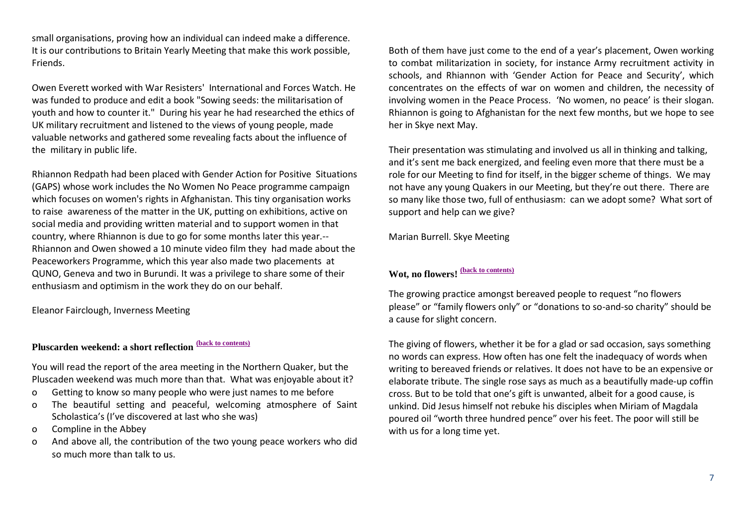small organisations, proving how an individual can indeed make a difference. It is our contributions to Britain Yearly Meeting that make this work possible, Friends.

Owen Everett worked with War Resisters' International and Forces Watch. He was funded to produce and edit a book "Sowing seeds: the militarisation of youth and how to counter it." During his year he had researched the ethics of UK military recruitment and listened to the views of young people, made valuable networks and gathered some revealing facts about the influence of the military in public life.

Rhiannon Redpath had been placed with Gender Action for Positive Situations (GAPS) whose work includes the No Women No Peace programme campaign which focuses on women's rights in Afghanistan. This tiny organisation works to raise awareness of the matter in the UK, putting on exhibitions, active on social media and providing written material and to support women in that country, where Rhiannon is due to go for some months later this year.-- Rhiannon and Owen showed a 10 minute video film they had made about the Peaceworkers Programme, which this year also made two placements at QUNO, Geneva and two in Burundi. It was a privilege to share some of their enthusiasm and optimism in the work they do on our behalf.

Eleanor Fairclough, Inverness Meeting

# <span id="page-6-0"></span>**Pluscarden weekend: a short reflection [\(back to contents\)](#page-0-0)**

You will read the report of the area meeting in the Northern Quaker, but the Pluscaden weekend was much more than that. What was enjoyable about it?

- o Getting to know so many people who were just names to me before
- o The beautiful setting and peaceful, welcoming atmosphere of Saint Scholastica's (I've discovered at last who she was)
- o Compline in the Abbey
- o And above all, the contribution of the two young peace workers who did so much more than talk to us.

Both of them have just come to the end of a year's placement, Owen working to combat militarization in society, for instance Army recruitment activity in schools, and Rhiannon with 'Gender Action for Peace and Security', which concentrates on the effects of war on women and children, the necessity of involving women in the Peace Process. 'No women, no peace' is their slogan. Rhiannon is going to Afghanistan for the next few months, but we hope to see her in Skye next May.

Their presentation was stimulating and involved us all in thinking and talking, and it's sent me back energized, and feeling even more that there must be a role for our Meeting to find for itself, in the bigger scheme of things. We may not have any young Quakers in our Meeting, but they're out there. There are so many like those two, full of enthusiasm: can we adopt some? What sort of support and help can we give?

Marian Burrell. Skye Meeting

# <span id="page-6-1"></span>**Wot, no flowers! [\(back to contents\)](#page-0-0)**

The growing practice amongst bereaved people to request "no flowers please" or "family flowers only" or "donations to so-and-so charity" should be a cause for slight concern.

The giving of flowers, whether it be for a glad or sad occasion, says something no words can express. How often has one felt the inadequacy of words when writing to bereaved friends or relatives. It does not have to be an expensive or elaborate tribute. The single rose says as much as a beautifully made-up coffin cross. But to be told that one's gift is unwanted, albeit for a good cause, is unkind. Did Jesus himself not rebuke his disciples when Miriam of Magdala poured oil "worth three hundred pence" over his feet. The poor will still be with us for a long time yet.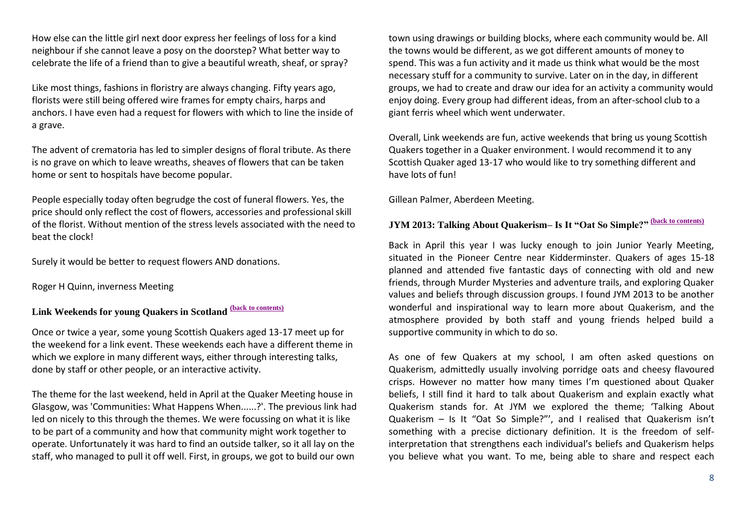How else can the little girl next door express her feelings of loss for a kind neighbour if she cannot leave a posy on the doorstep? What better way to celebrate the life of a friend than to give a beautiful wreath, sheaf, or spray?

Like most things, fashions in floristry are always changing. Fifty years ago, florists were still being offered wire frames for empty chairs, harps and anchors. I have even had a request for flowers with which to line the inside of a grave.

The advent of crematoria has led to simpler designs of floral tribute. As there is no grave on which to leave wreaths, sheaves of flowers that can be taken home or sent to hospitals have become popular.

People especially today often begrudge the cost of funeral flowers. Yes, the price should only reflect the cost of flowers, accessories and professional skill of the florist. Without mention of the stress levels associated with the need to beat the clock!

Surely it would be better to request flowers AND donations.

Roger H Quinn, inverness Meeting

# <span id="page-7-0"></span>**Link Weekends for young Quakers in Scotland [\(back to contents\)](#page-0-0)**

Once or twice a year, some young Scottish Quakers aged 13-17 meet up for the weekend for a link event. These weekends each have a different theme in which we explore in many different ways, either through interesting talks, done by staff or other people, or an interactive activity.

The theme for the last weekend, held in April at the Quaker Meeting house in Glasgow, was 'Communities: What Happens When......?'. The previous link had led on nicely to this through the themes. We were focussing on what it is like to be part of a community and how that community might work together to operate. Unfortunately it was hard to find an outside talker, so it all lay on the staff, who managed to pull it off well. First, in groups, we got to build our own

town using drawings or building blocks, where each community would be. All the towns would be different, as we got different amounts of money to spend. This was a fun activity and it made us think what would be the most necessary stuff for a community to survive. Later on in the day, in different groups, we had to create and draw our idea for an activity a community would enjoy doing. Every group had different ideas, from an after-school club to a giant ferris wheel which went underwater.

Overall, Link weekends are fun, active weekends that bring us young Scottish Quakers together in a Quaker environment. I would recommend it to any Scottish Quaker aged 13-17 who would like to try something different and have lots of fun!

Gillean Palmer, Aberdeen Meeting.

# <span id="page-7-1"></span>**JYM 2013: Talking About Quakerism– Is It "Oat So Simple?" [\(back to contents\)](#page-0-0)**

Back in April this year I was lucky enough to join Junior Yearly Meeting, situated in the Pioneer Centre near Kidderminster. Quakers of ages 15-18 planned and attended five fantastic days of connecting with old and new friends, through Murder Mysteries and adventure trails, and exploring Quaker values and beliefs through discussion groups. I found JYM 2013 to be another wonderful and inspirational way to learn more about Quakerism, and the atmosphere provided by both staff and young friends helped build a supportive community in which to do so.

As one of few Quakers at my school, I am often asked questions on Quakerism, admittedly usually involving porridge oats and cheesy flavoured crisps. However no matter how many times I'm questioned about Quaker beliefs, I still find it hard to talk about Quakerism and explain exactly what Quakerism stands for. At JYM we explored the theme; 'Talking About Quakerism – Is It "Oat So Simple?"', and I realised that Quakerism isn't something with a precise dictionary definition. It is the freedom of selfinterpretation that strengthens each individual's beliefs and Quakerism helps you believe what you want. To me, being able to share and respect each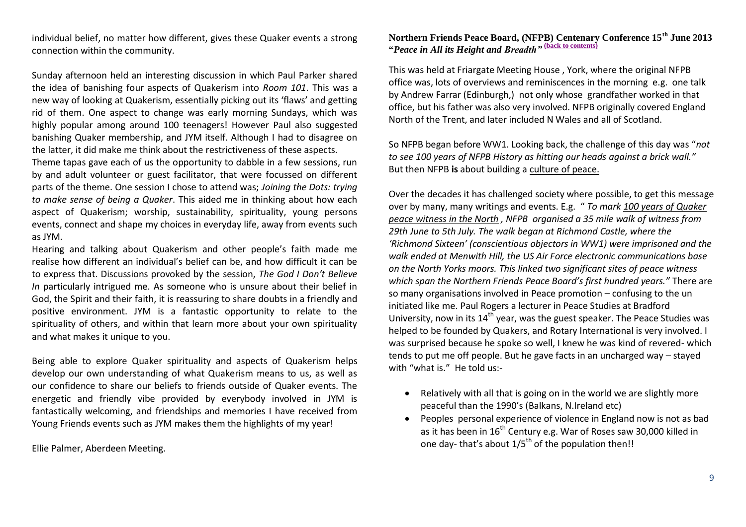individual belief, no matter how different, gives these Quaker events a strong connection within the community.

Sunday afternoon held an interesting discussion in which Paul Parker shared the idea of banishing four aspects of Quakerism into *Room 101*. This was a new way of looking at Quakerism, essentially picking out its 'flaws' and getting rid of them. One aspect to change was early morning Sundays, which was highly popular among around 100 teenagers! However Paul also suggested banishing Quaker membership, and JYM itself. Although I had to disagree on the latter, it did make me think about the restrictiveness of these aspects.

Theme tapas gave each of us the opportunity to dabble in a few sessions, run by and adult volunteer or guest facilitator, that were focussed on different parts of the theme. One session I chose to attend was; *Joining the Dots: trying to make sense of being a Quaker*. This aided me in thinking about how each aspect of Quakerism; worship, sustainability, spirituality, young persons events, connect and shape my choices in everyday life, away from events such as JYM.

Hearing and talking about Quakerism and other people's faith made me realise how different an individual's belief can be, and how difficult it can be to express that. Discussions provoked by the session, *The God I Don't Believe In particularly intrigued me. As someone who is unsure about their belief in* God, the Spirit and their faith, it is reassuring to share doubts in a friendly and positive environment. JYM is a fantastic opportunity to relate to the spirituality of others, and within that learn more about your own spirituality and what makes it unique to you.

Being able to explore Quaker spirituality and aspects of Quakerism helps develop our own understanding of what Quakerism means to us, as well as our confidence to share our beliefs to friends outside of Quaker events. The energetic and friendly vibe provided by everybody involved in JYM is fantastically welcoming, and friendships and memories I have received from Young Friends events such as JYM makes them the highlights of my year!

Ellie Palmer, Aberdeen Meeting.

### <span id="page-8-0"></span>**Northern Friends Peace Board, (NFPB) Centenary Conference 15th June 2013 "***Peace in All its Height and Breadth"* **[\(back to contents\)](#page-0-0)**

This was held at Friargate Meeting House , York, where the original NFPB office was, lots of overviews and reminiscences in the morning e.g. one talk by Andrew Farrar (Edinburgh,) not only whose grandfather worked in that office, but his father was also very involved. NFPB originally covered England North of the Trent, and later included N Wales and all of Scotland.

So NFPB began before WW1. Looking back, the challenge of this day was "*not to see 100 years of NFPB History as hitting our heads against a brick wall."* But then NFPB **is** about building a culture of peace.

Over the decades it has challenged society where possible, to get this message over by many, many writings and events. E.g. " *To mark [100 years of Quaker](http://nfpb.org.uk/projects/centenary)  [peace witness in the North](http://nfpb.org.uk/projects/centenary) , NFPB organised a 35 mile walk of witness from 29th June to 5th July. The walk began at Richmond Castle, where the 'Richmond Sixteen' (conscientious objectors in WW1) were imprisoned and the walk ended at Menwith Hill, the US Air Force electronic communications base on the North Yorks moors. This linked two significant sites of peace witness which span the Northern Friends Peace Board's first hundred years."* There are so many organisations involved in Peace promotion – confusing to the un initiated like me. Paul Rogers a lecturer in Peace Studies at Bradford University, now in its  $14^{th}$  year, was the guest speaker. The Peace Studies was helped to be founded by Quakers, and Rotary International is very involved. I was surprised because he spoke so well, I knew he was kind of revered- which tends to put me off people. But he gave facts in an uncharged way – stayed with "what is." He told us:-

- Relatively with all that is going on in the world we are slightly more peaceful than the 1990's (Balkans, N.Ireland etc)
- Peoples personal experience of violence in England now is not as bad as it has been in 16<sup>th</sup> Century e.g. War of Roses saw 30,000 killed in one day- that's about  $1/5^{th}$  of the population then!!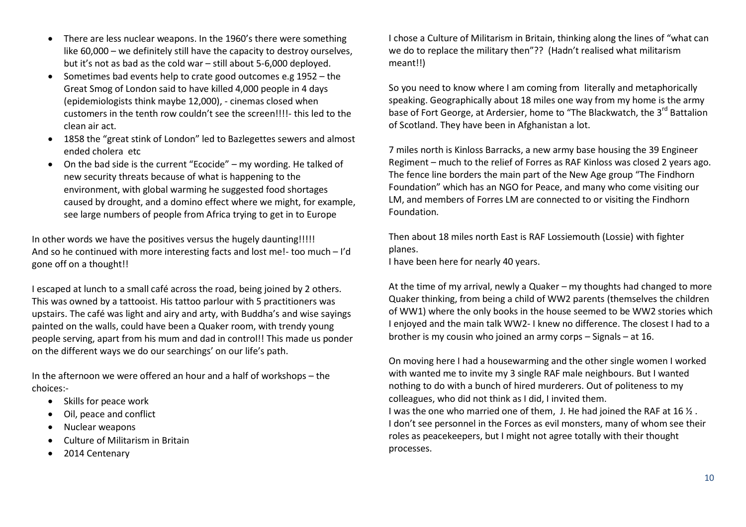- There are less nuclear weapons. In the 1960's there were something like 60,000 – we definitely still have the capacity to destroy ourselves, but it's not as bad as the cold war – still about 5-6,000 deployed.
- Sometimes bad events help to crate good outcomes e.g 1952 the Great Smog of London said to have killed 4,000 people in 4 days (epidemiologists think maybe 12,000), - cinemas closed when customers in the tenth row couldn't see the screen!!!!- this led to the clean air act.
- 1858 the "great stink of London" led to Bazlegettes sewers and almost ended cholera etc
- On the bad side is the current "Ecocide" my wording. He talked of new security threats because of what is happening to the environment, with global warming he suggested food shortages caused by drought, and a domino effect where we might, for example, see large numbers of people from Africa trying to get in to Europe

In other words we have the positives versus the hugely daunting!!!!! And so he continued with more interesting facts and lost me!- too much – I'd gone off on a thought!!

I escaped at lunch to a small café across the road, being joined by 2 others. This was owned by a tattooist. His tattoo parlour with 5 practitioners was upstairs. The café was light and airy and arty, with Buddha's and wise sayings painted on the walls, could have been a Quaker room, with trendy young people serving, apart from his mum and dad in control!! This made us ponder on the different ways we do our searchings' on our life's path.

In the afternoon we were offered an hour and a half of workshops – the choices:-

- Skills for peace work
- Oil, peace and conflict
- Nuclear weapons
- Culture of Militarism in Britain
- 2014 Centenary

I chose a Culture of Militarism in Britain, thinking along the lines of "what can we do to replace the military then"?? (Hadn't realised what militarism meant!!)

So you need to know where I am coming from literally and metaphorically speaking. Geographically about 18 miles one way from my home is the army base of Fort George, at Ardersier, home to "The Blackwatch, the 3<sup>rd</sup> Battalion of Scotland. They have been in Afghanistan a lot.

7 miles north is Kinloss Barracks, a new army base housing the 39 Engineer Regiment – much to the relief of Forres as RAF Kinloss was closed 2 years ago. The fence line borders the main part of the New Age group "The Findhorn Foundation" which has an NGO for Peace, and many who come visiting our LM, and members of Forres LM are connected to or visiting the Findhorn Foundation.

Then about 18 miles north East is RAF Lossiemouth (Lossie) with fighter planes.

I have been here for nearly 40 years.

At the time of my arrival, newly a Quaker – my thoughts had changed to more Quaker thinking, from being a child of WW2 parents (themselves the children of WW1) where the only books in the house seemed to be WW2 stories which I enjoyed and the main talk WW2- I knew no difference. The closest I had to a brother is my cousin who joined an army corps – Signals – at 16.

On moving here I had a housewarming and the other single women I worked with wanted me to invite my 3 single RAF male neighbours. But I wanted nothing to do with a bunch of hired murderers. Out of politeness to my colleagues, who did not think as I did, I invited them. I was the one who married one of them, J. He had joined the RAF at 16 ½ . I don't see personnel in the Forces as evil monsters, many of whom see their roles as peacekeepers, but I might not agree totally with their thought processes.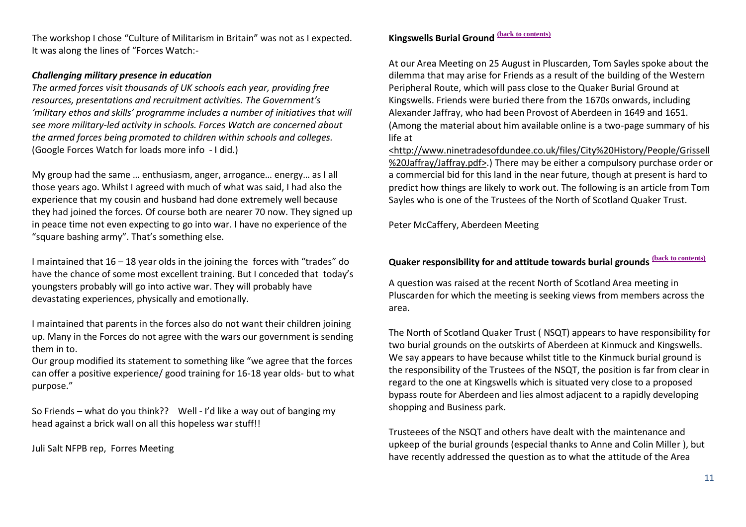The workshop I chose "Culture of Militarism in Britain" was not as I expected. It was along the lines of "Forces Watch:-

### *Challenging military presence in education*

*The armed forces visit thousands of UK schools each year, providing free resources, presentations and recruitment activities. The Government's 'military ethos and skills' programme includes a number of initiatives that will see more military-led activity in schools. Forces Watch are concerned about the armed forces being promoted to children within schools and colleges.* (Google Forces Watch for loads more info - I did.)

My group had the same … enthusiasm, anger, arrogance… energy… as I all those years ago. Whilst I agreed with much of what was said, I had also the experience that my cousin and husband had done extremely well because they had joined the forces. Of course both are nearer 70 now. They signed up in peace time not even expecting to go into war. I have no experience of the "square bashing army". That's something else.

I maintained that 16 – 18 year olds in the joining the forces with "trades" do have the chance of some most excellent training. But I conceded that today's youngsters probably will go into active war. They will probably have devastating experiences, physically and emotionally.

I maintained that parents in the forces also do not want their children joining up. Many in the Forces do not agree with the wars our government is sending them in to.

Our group modified its statement to something like "we agree that the forces can offer a positive experience/ good training for 16-18 year olds- but to what purpose."

So Friends – what do you think?? Well - I'd like a way out of banging my head against a brick wall on all this hopeless war stuff!!

Juli Salt NFPB rep, Forres Meeting

### <span id="page-10-0"></span>**Kingswells Burial Ground [\(back to contents\)](#page-0-0)**

At our Area Meeting on 25 August in Pluscarden, Tom Sayles spoke about the dilemma that may arise for Friends as a result of the building of the Western Peripheral Route, which will pass close to the Quaker Burial Ground at Kingswells. Friends were buried there from the 1670s onwards, including Alexander Jaffray, who had been Provost of Aberdeen in 1649 and 1651. (Among the material about him available online is a two-page summary of his life at

[<http://www.ninetradesofdundee.co.uk/files/City%20History/People/Grissell](http://www.ninetradesofdundee.co.uk/files/City%20History/People/Grissell%20Jaffray/Jaffray.pdf) [%20Jaffray/Jaffray.pdf>.](http://www.ninetradesofdundee.co.uk/files/City%20History/People/Grissell%20Jaffray/Jaffray.pdf)) There may be either a compulsory purchase order or a commercial bid for this land in the near future, though at present is hard to predict how things are likely to work out. The following is an article from Tom Sayles who is one of the Trustees of the North of Scotland Quaker Trust.

Peter McCaffery, Aberdeen Meeting

### <span id="page-10-1"></span>**Quaker responsibility for and attitude towards burial grounds [\(back to contents\)](#page-0-0)**

A question was raised at the recent North of Scotland Area meeting in Pluscarden for which the meeting is seeking views from members across the area.

The North of Scotland Quaker Trust ( NSQT) appears to have responsibility for two burial grounds on the outskirts of Aberdeen at Kinmuck and Kingswells. We say appears to have because whilst title to the Kinmuck burial ground is the responsibility of the Trustees of the NSQT, the position is far from clear in regard to the one at Kingswells which is situated very close to a proposed bypass route for Aberdeen and lies almost adjacent to a rapidly developing shopping and Business park.

Trusteees of the NSQT and others have dealt with the maintenance and upkeep of the burial grounds (especial thanks to Anne and Colin Miller ), but have recently addressed the question as to what the attitude of the Area